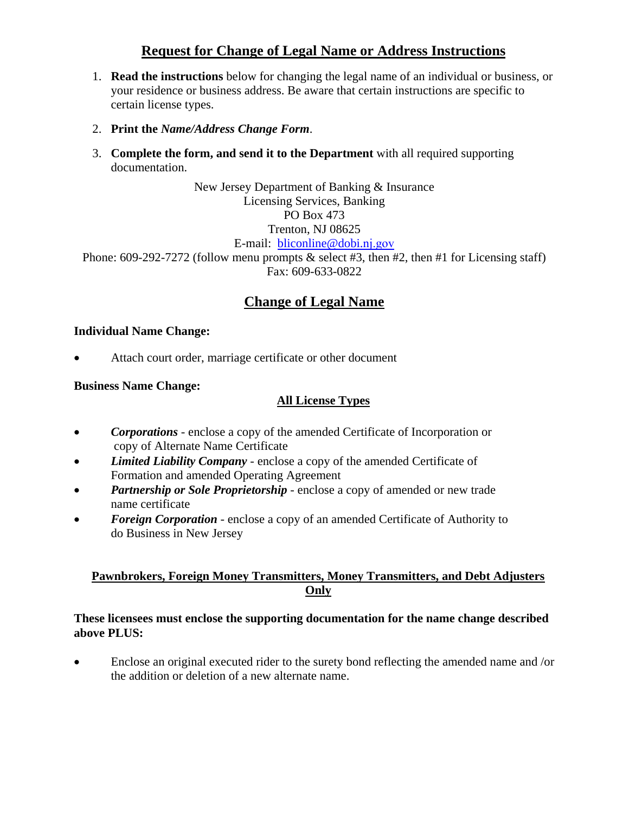# **Request for Change of Legal Name or Address Instructions**

- 1. **Read the instructions** below for changing the legal name of an individual or business, or your residence or business address. Be aware that certain instructions are specific to certain license types.
- 2. **Print the** *Name/Address Change Form*.
- 3. **Complete the form, and send it to the Department** with all required supporting documentation.

New Jersey Department of Banking & Insurance Licensing Services, Banking PO Box 473 Trenton, NJ 08625 E-mail: bliconline@dobi.nj.gov

Phone: 609-292-7272 (follow menu prompts & select #3, then #2, then #1 for Licensing staff) Fax: 609-633-0822

# **Change of Legal Name**

#### **Individual Name Change:**

Attach court order, marriage certificate or other document

#### **Business Name Change:**

### **All License Types**

- *Corporations* enclose a copy of the amended Certificate of Incorporation or copy of Alternate Name Certificate
- *Limited Liability Company* enclose a copy of the amended Certificate of Formation and amended Operating Agreement
- *Partnership or Sole Proprietorship* enclose a copy of amended or new trade name certificate
- **Foreign Corporation** enclose a copy of an amended Certificate of Authority to do Business in New Jersey

### **Pawnbrokers, Foreign Money Transmitters, Money Transmitters, and Debt Adjusters Only**

#### **These licensees must enclose the supporting documentation for the name change described above PLUS:**

 Enclose an original executed rider to the surety bond reflecting the amended name and /or the addition or deletion of a new alternate name.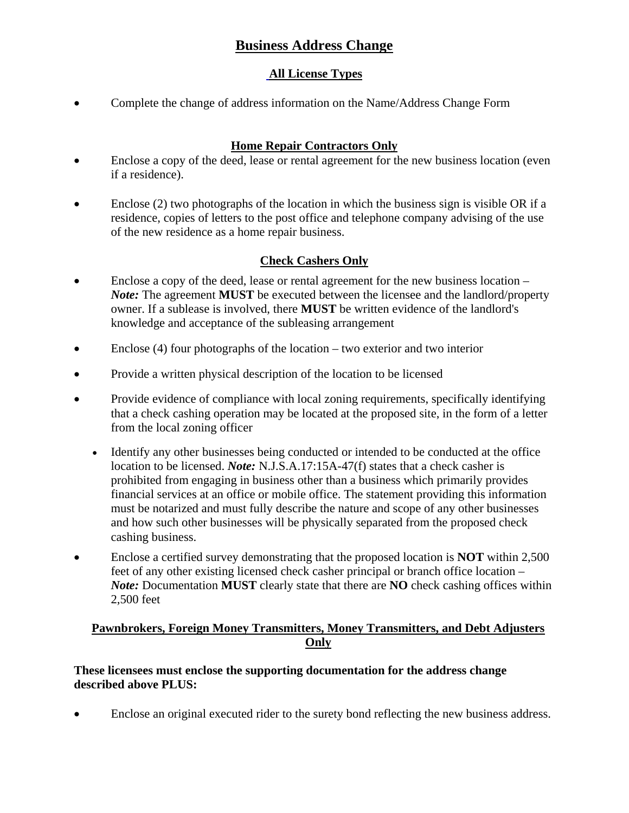# **Business Address Change**

## **All License Types**

• Complete the change of address information on the Name/Address Change Form

### **Home Repair Contractors Only**

- Enclose a copy of the deed, lease or rental agreement for the new business location (even if a residence).
- Enclose (2) two photographs of the location in which the business sign is visible OR if a residence, copies of letters to the post office and telephone company advising of the use of the new residence as a home repair business.

### **Check Cashers Only**

- Enclose a copy of the deed, lease or rental agreement for the new business location *Note:* The agreement **MUST** be executed between the licensee and the landlord/property owner. If a sublease is involved, there **MUST** be written evidence of the landlord's knowledge and acceptance of the subleasing arrangement
- Enclose (4) four photographs of the location two exterior and two interior
- Provide a written physical description of the location to be licensed
- Provide evidence of compliance with local zoning requirements, specifically identifying that a check cashing operation may be located at the proposed site, in the form of a letter from the local zoning officer
	- Identify any other businesses being conducted or intended to be conducted at the office location to be licensed. *Note:* N.J.S.A.17:15A-47(f) states that a check casher is prohibited from engaging in business other than a business which primarily provides financial services at an office or mobile office. The statement providing this information must be notarized and must fully describe the nature and scope of any other businesses and how such other businesses will be physically separated from the proposed check cashing business.
- Enclose a certified survey demonstrating that the proposed location is **NOT** within 2,500 feet of any other existing licensed check casher principal or branch office location – *Note:* Documentation **MUST** clearly state that there are **NO** check cashing offices within 2,500 feet

### **Pawnbrokers, Foreign Money Transmitters, Money Transmitters, and Debt Adjusters Only**

### **These licensees must enclose the supporting documentation for the address change described above PLUS:**

Enclose an original executed rider to the surety bond reflecting the new business address.